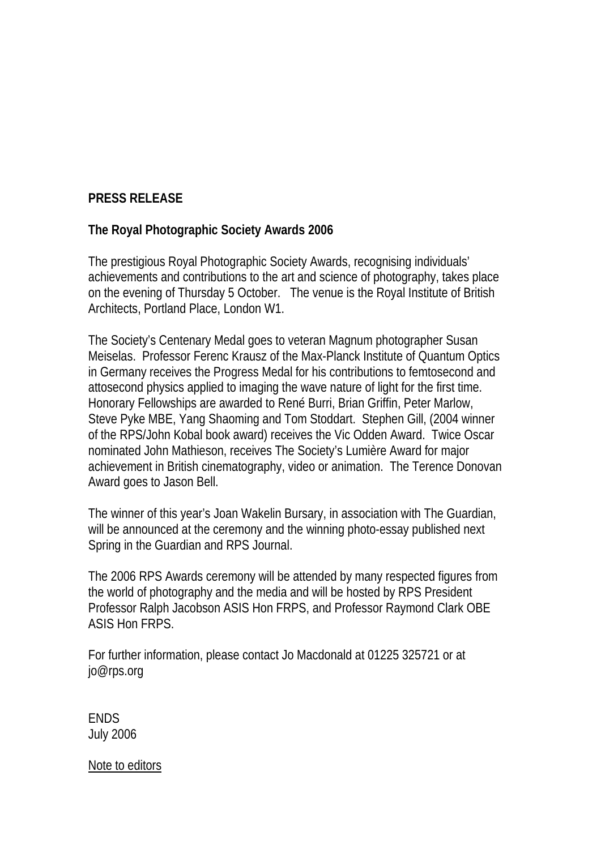## **PRESS RELEASE**

## **The Royal Photographic Society Awards 2006**

The prestigious Royal Photographic Society Awards, recognising individuals' achievements and contributions to the art and science of photography, takes place on the evening of Thursday 5 October. The venue is the Royal Institute of British Architects, Portland Place, London W1.

The Society's Centenary Medal goes to veteran Magnum photographer Susan Meiselas. Professor Ferenc Krausz of the Max-Planck Institute of Quantum Optics in Germany receives the Progress Medal for his contributions to femtosecond and attosecond physics applied to imaging the wave nature of light for the first time. Honorary Fellowships are awarded to René Burri, Brian Griffin, Peter Marlow, Steve Pyke MBE, Yang Shaoming and Tom Stoddart. Stephen Gill, (2004 winner of the RPS/John Kobal book award) receives the Vic Odden Award. Twice Oscar nominated John Mathieson, receives The Society's Lumière Award for major achievement in British cinematography, video or animation. The Terence Donovan Award goes to Jason Bell.

The winner of this year's Joan Wakelin Bursary, in association with The Guardian, will be announced at the ceremony and the winning photo-essay published next Spring in the Guardian and RPS Journal.

The 2006 RPS Awards ceremony will be attended by many respected figures from the world of photography and the media and will be hosted by RPS President Professor Ralph Jacobson ASIS Hon FRPS, and Professor Raymond Clark OBE ASIS Hon FRPS.

For further information, please contact Jo Macdonald at 01225 325721 or at jo@rps.org

**FNDS** July 2006

Note to editors